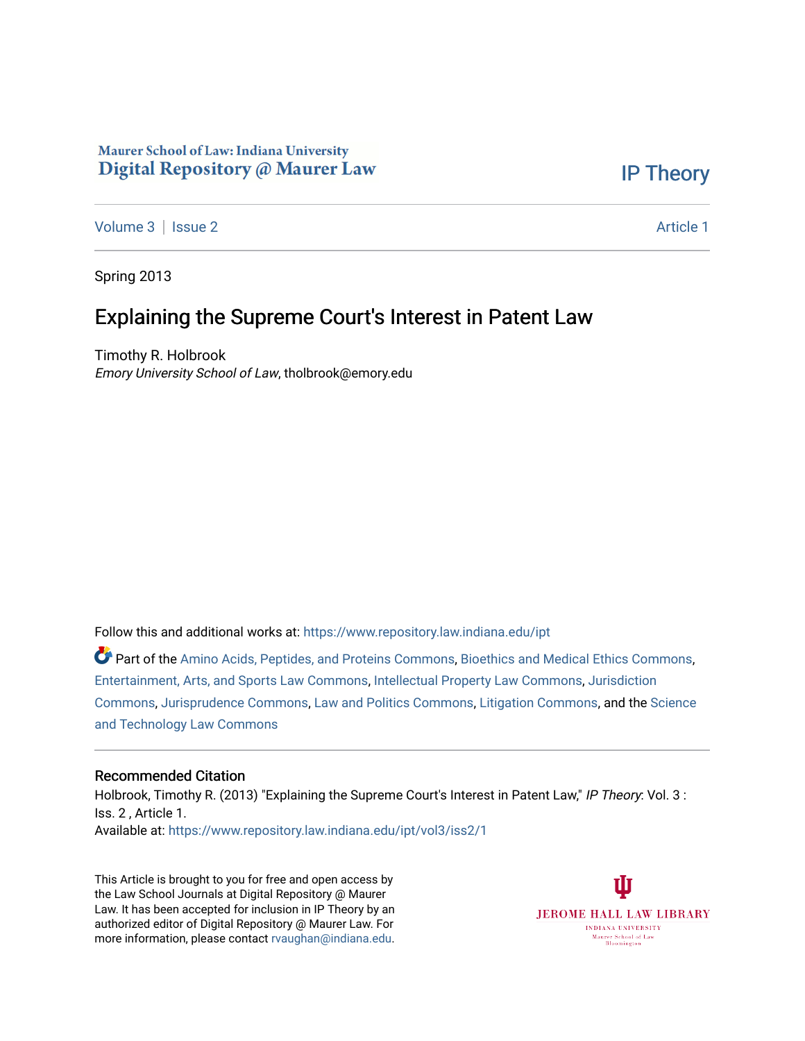# Maurer School of Law: Indiana University Digital Repository @ Maurer Law

[IP Theory](https://www.repository.law.indiana.edu/ipt) 

[Volume 3](https://www.repository.law.indiana.edu/ipt/vol3) | [Issue 2](https://www.repository.law.indiana.edu/ipt/vol3/iss2) Article 1

Spring 2013

# Explaining the Supreme Court's Interest in Patent Law

Timothy R. Holbrook Emory University School of Law, tholbrook@emory.edu

Follow this and additional works at: [https://www.repository.law.indiana.edu/ipt](https://www.repository.law.indiana.edu/ipt?utm_source=www.repository.law.indiana.edu%2Fipt%2Fvol3%2Fiss2%2F1&utm_medium=PDF&utm_campaign=PDFCoverPages) 

Part of the [Amino Acids, Peptides, and Proteins Commons](http://network.bepress.com/hgg/discipline/954?utm_source=www.repository.law.indiana.edu%2Fipt%2Fvol3%2Fiss2%2F1&utm_medium=PDF&utm_campaign=PDFCoverPages), [Bioethics and Medical Ethics Commons,](http://network.bepress.com/hgg/discipline/650?utm_source=www.repository.law.indiana.edu%2Fipt%2Fvol3%2Fiss2%2F1&utm_medium=PDF&utm_campaign=PDFCoverPages) [Entertainment, Arts, and Sports Law Commons](http://network.bepress.com/hgg/discipline/893?utm_source=www.repository.law.indiana.edu%2Fipt%2Fvol3%2Fiss2%2F1&utm_medium=PDF&utm_campaign=PDFCoverPages), [Intellectual Property Law Commons](http://network.bepress.com/hgg/discipline/896?utm_source=www.repository.law.indiana.edu%2Fipt%2Fvol3%2Fiss2%2F1&utm_medium=PDF&utm_campaign=PDFCoverPages), [Jurisdiction](http://network.bepress.com/hgg/discipline/850?utm_source=www.repository.law.indiana.edu%2Fipt%2Fvol3%2Fiss2%2F1&utm_medium=PDF&utm_campaign=PDFCoverPages)  [Commons](http://network.bepress.com/hgg/discipline/850?utm_source=www.repository.law.indiana.edu%2Fipt%2Fvol3%2Fiss2%2F1&utm_medium=PDF&utm_campaign=PDFCoverPages), [Jurisprudence Commons,](http://network.bepress.com/hgg/discipline/610?utm_source=www.repository.law.indiana.edu%2Fipt%2Fvol3%2Fiss2%2F1&utm_medium=PDF&utm_campaign=PDFCoverPages) [Law and Politics Commons](http://network.bepress.com/hgg/discipline/867?utm_source=www.repository.law.indiana.edu%2Fipt%2Fvol3%2Fiss2%2F1&utm_medium=PDF&utm_campaign=PDFCoverPages), [Litigation Commons,](http://network.bepress.com/hgg/discipline/910?utm_source=www.repository.law.indiana.edu%2Fipt%2Fvol3%2Fiss2%2F1&utm_medium=PDF&utm_campaign=PDFCoverPages) and the [Science](http://network.bepress.com/hgg/discipline/875?utm_source=www.repository.law.indiana.edu%2Fipt%2Fvol3%2Fiss2%2F1&utm_medium=PDF&utm_campaign=PDFCoverPages)  [and Technology Law Commons](http://network.bepress.com/hgg/discipline/875?utm_source=www.repository.law.indiana.edu%2Fipt%2Fvol3%2Fiss2%2F1&utm_medium=PDF&utm_campaign=PDFCoverPages) 

#### Recommended Citation

Holbrook, Timothy R. (2013) "Explaining the Supreme Court's Interest in Patent Law," IP Theory: Vol. 3 : Iss. 2 , Article 1. Available at: [https://www.repository.law.indiana.edu/ipt/vol3/iss2/1](https://www.repository.law.indiana.edu/ipt/vol3/iss2/1?utm_source=www.repository.law.indiana.edu%2Fipt%2Fvol3%2Fiss2%2F1&utm_medium=PDF&utm_campaign=PDFCoverPages) 

This Article is brought to you for free and open access by the Law School Journals at Digital Repository @ Maurer Law. It has been accepted for inclusion in IP Theory by an authorized editor of Digital Repository @ Maurer Law. For more information, please contact [rvaughan@indiana.edu](mailto:rvaughan@indiana.edu).

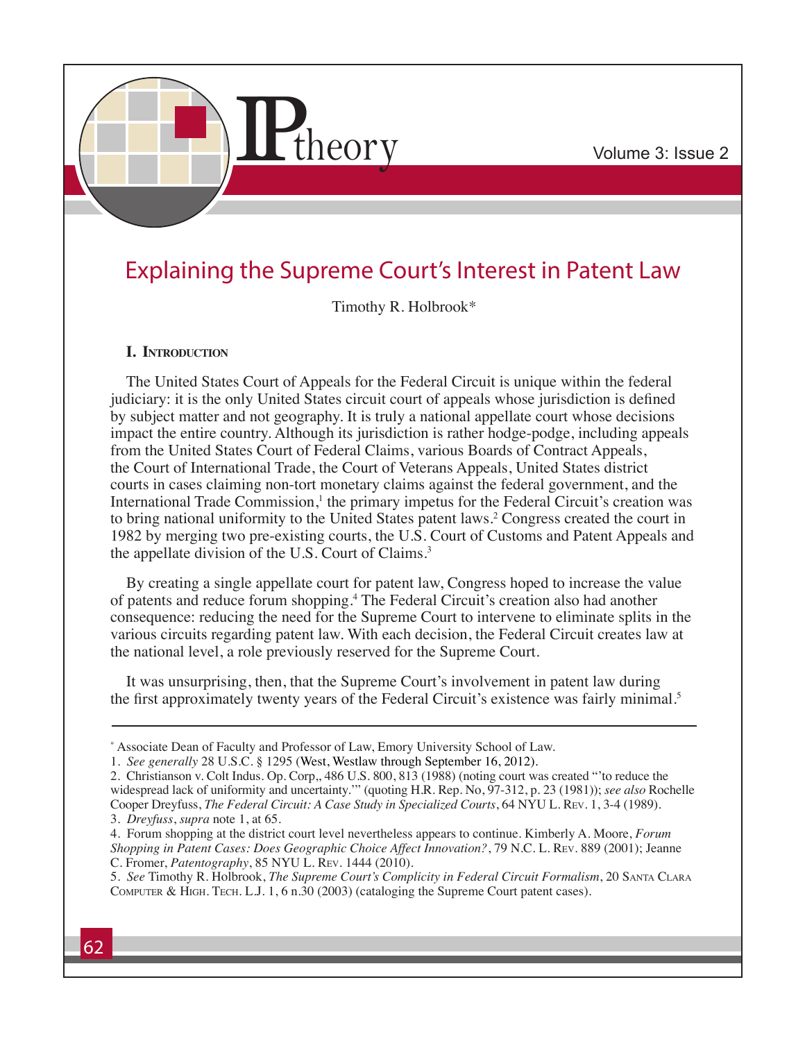

# Explaining the Supreme Court's Interest in Patent Law

Timothy R. Holbrook\*

#### **I. Introduction**

The United States Court of Appeals for the Federal Circuit is unique within the federal judiciary: it is the only United States circuit court of appeals whose jurisdiction is defined by subject matter and not geography. It is truly a national appellate court whose decisions impact the entire country. Although its jurisdiction is rather hodge-podge, including appeals from the United States Court of Federal Claims, various Boards of Contract Appeals, the Court of International Trade, the Court of Veterans Appeals, United States district courts in cases claiming non-tort monetary claims against the federal government, and the International Trade Commission,<sup>1</sup> the primary impetus for the Federal Circuit's creation was to bring national uniformity to the United States patent laws.<sup>2</sup> Congress created the court in 1982 by merging two pre-existing courts, the U.S. Court of Customs and Patent Appeals and the appellate division of the U.S. Court of Claims.3

By creating a single appellate court for patent law, Congress hoped to increase the value of patents and reduce forum shopping.4 The Federal Circuit's creation also had another consequence: reducing the need for the Supreme Court to intervene to eliminate splits in the various circuits regarding patent law. With each decision, the Federal Circuit creates law at the national level, a role previously reserved for the Supreme Court.

It was unsurprising, then, that the Supreme Court's involvement in patent law during the first approximately twenty years of the Federal Circuit's existence was fairly minimal.<sup>5</sup>

<sup>\*</sup> Associate Dean of Faculty and Professor of Law, Emory University School of Law.

<sup>1.</sup> *See generally* 28 U.S.C. § 1295 (West, Westlaw through September 16, 2012).

<sup>2.</sup> Christianson v. Colt Indus. Op. Corp,, 486 U.S. 800, 813 (1988) (noting court was created "'to reduce the widespread lack of uniformity and uncertainty.'" (quoting H.R. Rep. No, 97-312, p. 23 (1981)); *see also* Rochelle Cooper Dreyfuss, *The Federal Circuit: A Case Study in Specialized Courts*, 64 NYU L. Rev. 1, 3-4 (1989). 3. *Dreyfuss*, *supra* note 1, at 65.

<sup>4.</sup> Forum shopping at the district court level nevertheless appears to continue. Kimberly A. Moore, *Forum Shopping in Patent Cases: Does Geographic Choice Affect Innovation?*, 79 N.C. L. Rev. 889 (2001); Jeanne C. Fromer, *Patentography*, 85 NYU L. Rev. 1444 (2010).

<sup>5.</sup> *See* Timothy R. Holbrook, *The Supreme Court's Complicity in Federal Circuit Formalism*, 20 Santa Clara Computer & High. Tech. L.J. 1, 6 n.30 (2003) (cataloging the Supreme Court patent cases).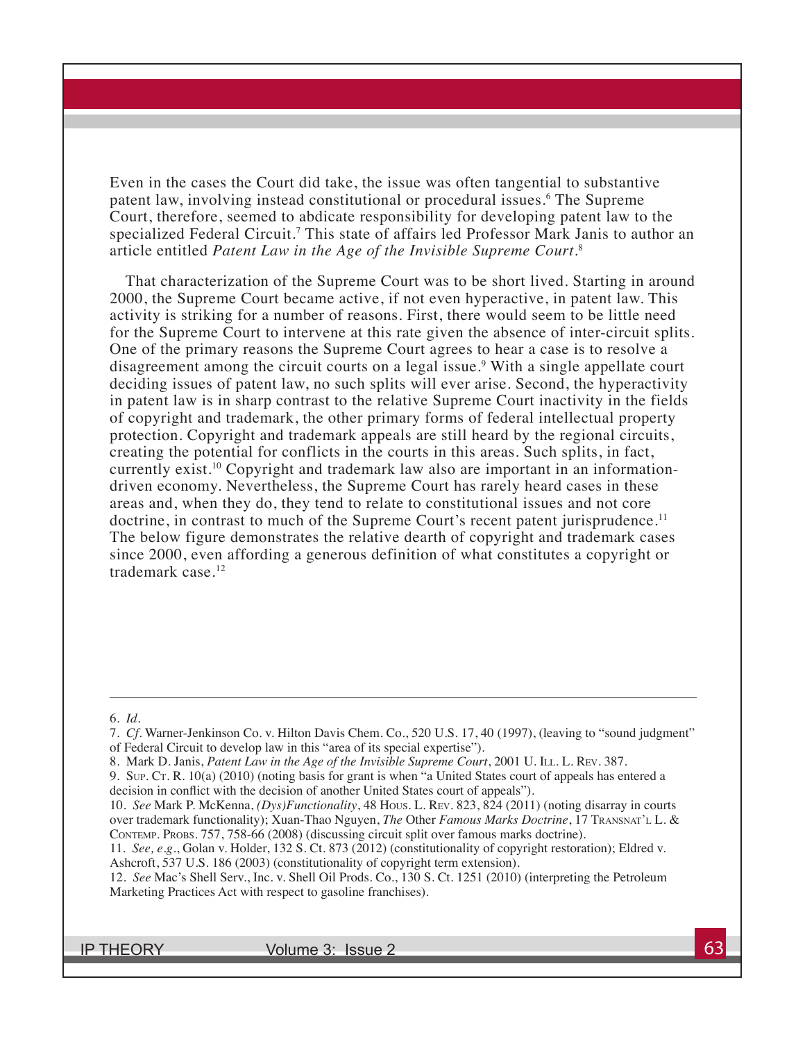Even in the cases the Court did take, the issue was often tangential to substantive patent law, involving instead constitutional or procedural issues.6 The Supreme Court, therefore, seemed to abdicate responsibility for developing patent law to the specialized Federal Circuit.<sup>7</sup> This state of affairs led Professor Mark Janis to author an article entitled *Patent Law in the Age of the Invisible Supreme Court*. 8

That characterization of the Supreme Court was to be short lived. Starting in around 2000, the Supreme Court became active, if not even hyperactive, in patent law. This activity is striking for a number of reasons. First, there would seem to be little need for the Supreme Court to intervene at this rate given the absence of inter-circuit splits. One of the primary reasons the Supreme Court agrees to hear a case is to resolve a disagreement among the circuit courts on a legal issue.<sup>9</sup> With a single appellate court deciding issues of patent law, no such splits will ever arise. Second, the hyperactivity in patent law is in sharp contrast to the relative Supreme Court inactivity in the fields of copyright and trademark, the other primary forms of federal intellectual property protection. Copyright and trademark appeals are still heard by the regional circuits, creating the potential for conflicts in the courts in this areas. Such splits, in fact, currently exist.<sup>10</sup> Copyright and trademark law also are important in an informationdriven economy. Nevertheless, the Supreme Court has rarely heard cases in these areas and, when they do, they tend to relate to constitutional issues and not core doctrine, in contrast to much of the Supreme Court's recent patent jurisprudence.<sup>11</sup> The below figure demonstrates the relative dearth of copyright and trademark cases since 2000, even affording a generous definition of what constitutes a copyright or trademark case.<sup>12</sup>

<sup>6.</sup> *Id.*

<sup>7.</sup> *Cf.* Warner-Jenkinson Co. v. Hilton Davis Chem. Co., 520 U.S. 17, 40 (1997), (leaving to "sound judgment" of Federal Circuit to develop law in this "area of its special expertise").

<sup>8.</sup> Mark D. Janis, *Patent Law in the Age of the Invisible Supreme Court*, 2001 U. ILL. L. Rev. 387.

<sup>9.</sup> Sup. Ct. R. 10(a) (2010) (noting basis for grant is when "a United States court of appeals has entered a decision in conflict with the decision of another United States court of appeals").

<sup>10.</sup> *See* Mark P. McKenna, *(Dys)Functionality*, 48 Hous. L. Rev. 823, 824 (2011) (noting disarray in courts over trademark functionality); Xuan-Thao Nguyen, *The* Other *Famous Marks Doctrine*, 17 Transnat'l L. & Contemp. Probs. 757, 758-66 (2008) (discussing circuit split over famous marks doctrine).

<sup>11.</sup> *See, e.g.*, Golan v. Holder, 132 S. Ct. 873 (2012) (constitutionality of copyright restoration); Eldred v. Ashcroft, 537 U.S. 186 (2003) (constitutionality of copyright term extension).

<sup>12.</sup> *See* Mac's Shell Serv., Inc. v. Shell Oil Prods. Co., 130 S. Ct. 1251 (2010) (interpreting the Petroleum Marketing Practices Act with respect to gasoline franchises).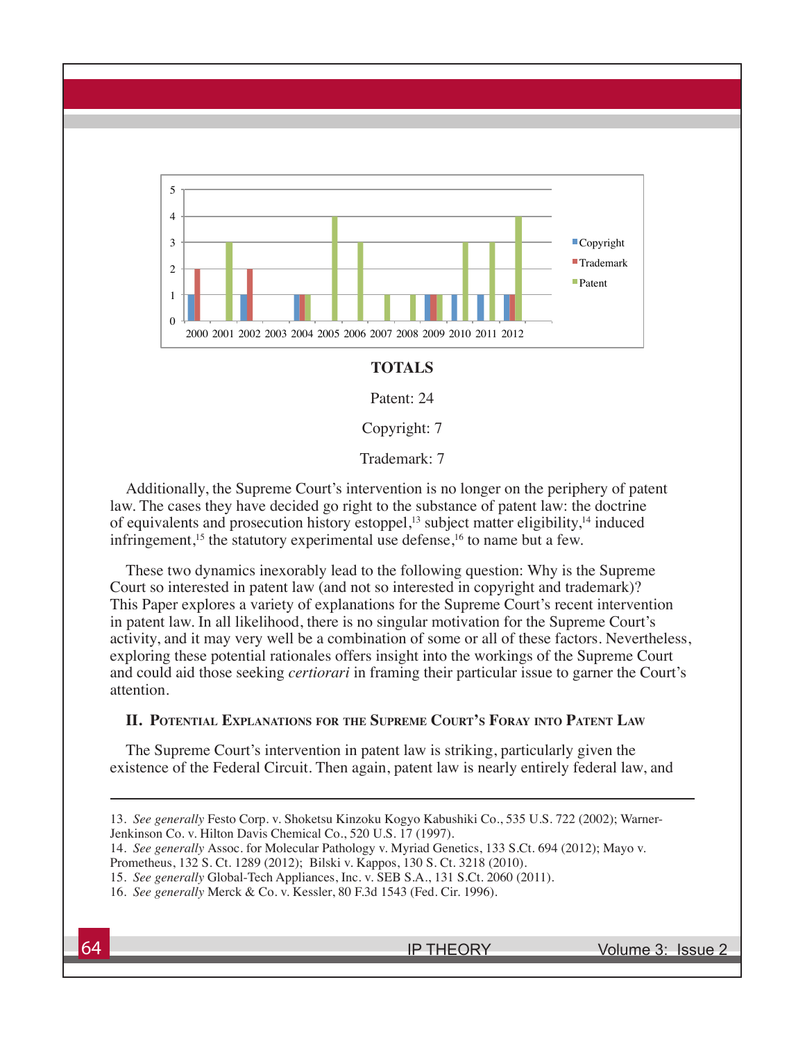

#### **TOTALS**

Patent: 24

Copyright: 7

Trademark: 7

Additionally, the Supreme Court's intervention is no longer on the periphery of patent law. The cases they have decided go right to the substance of patent law: the doctrine of equivalents and prosecution history estoppel,<sup>13</sup> subject matter eligibility,<sup>14</sup> induced infringement,<sup>15</sup> the statutory experimental use defense,<sup>16</sup> to name but a few.

These two dynamics inexorably lead to the following question: Why is the Supreme Court so interested in patent law (and not so interested in copyright and trademark)? This Paper explores a variety of explanations for the Supreme Court's recent intervention in patent law. In all likelihood, there is no singular motivation for the Supreme Court's activity, and it may very well be a combination of some or all of these factors. Nevertheless, exploring these potential rationales offers insight into the workings of the Supreme Court and could aid those seeking *certiorari* in framing their particular issue to garner the Court's attention.

#### **II. Potential Explanations for the Supreme Court's Foray into Patent Law**

The Supreme Court's intervention in patent law is striking, particularly given the existence of the Federal Circuit. Then again, patent law is nearly entirely federal law, and

14. *See generally* Assoc. for Molecular Pathology v. Myriad Genetics, 133 S.Ct. 694 (2012); Mayo v. Prometheus, 132 S. Ct. 1289 (2012); Bilski v. Kappos, 130 S. Ct. 3218 (2010).

<sup>13.</sup> *See generally* Festo Corp. v. Shoketsu Kinzoku Kogyo Kabushiki Co., 535 U.S. 722 (2002); Warner-Jenkinson Co. v. Hilton Davis Chemical Co., 520 U.S. 17 (1997).

<sup>15.</sup> *See generally* Global-Tech Appliances, Inc. v. SEB S.A., 131 S.Ct. 2060 (2011).

<sup>16.</sup> *See generally* Merck & Co. v. Kessler, 80 F.3d 1543 (Fed. Cir. 1996).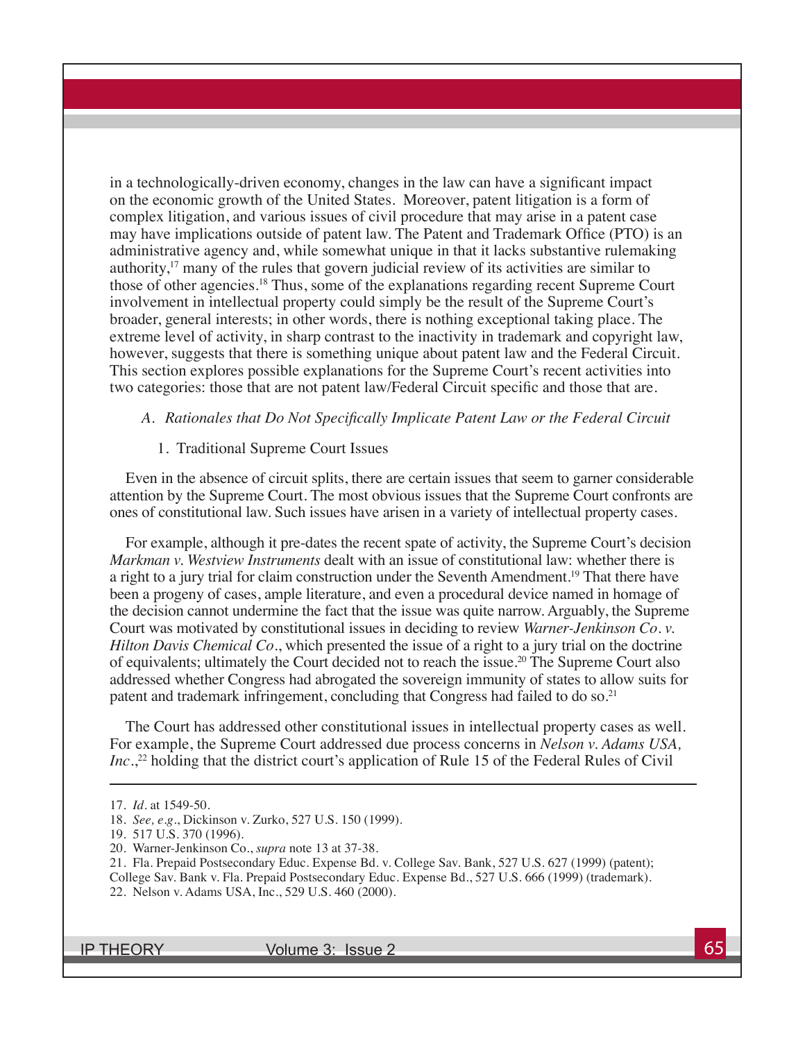in a technologically-driven economy, changes in the law can have a significant impact on the economic growth of the United States. Moreover, patent litigation is a form of complex litigation, and various issues of civil procedure that may arise in a patent case may have implications outside of patent law. The Patent and Trademark Office (PTO) is an administrative agency and, while somewhat unique in that it lacks substantive rulemaking authority, $17 \text{ many of the rules that govern judicial review of its activities are similar to }$ those of other agencies.18 Thus, some of the explanations regarding recent Supreme Court involvement in intellectual property could simply be the result of the Supreme Court's broader, general interests; in other words, there is nothing exceptional taking place. The extreme level of activity, in sharp contrast to the inactivity in trademark and copyright law, however, suggests that there is something unique about patent law and the Federal Circuit. This section explores possible explanations for the Supreme Court's recent activities into two categories: those that are not patent law/Federal Circuit specific and those that are.

#### *A. Rationales that Do Not Specifically Implicate Patent Law or the Federal Circuit*

#### 1. Traditional Supreme Court Issues

Even in the absence of circuit splits, there are certain issues that seem to garner considerable attention by the Supreme Court. The most obvious issues that the Supreme Court confronts are ones of constitutional law. Such issues have arisen in a variety of intellectual property cases.

For example, although it pre-dates the recent spate of activity, the Supreme Court's decision *Markman v. Westview Instruments* dealt with an issue of constitutional law: whether there is a right to a jury trial for claim construction under the Seventh Amendment.19 That there have been a progeny of cases, ample literature, and even a procedural device named in homage of the decision cannot undermine the fact that the issue was quite narrow. Arguably, the Supreme Court was motivated by constitutional issues in deciding to review *Warner-Jenkinson Co. v. Hilton Davis Chemical Co.*, which presented the issue of a right to a jury trial on the doctrine of equivalents; ultimately the Court decided not to reach the issue.20 The Supreme Court also addressed whether Congress had abrogated the sovereign immunity of states to allow suits for patent and trademark infringement, concluding that Congress had failed to do so.<sup>21</sup>

The Court has addressed other constitutional issues in intellectual property cases as well. For example, the Supreme Court addressed due process concerns in *Nelson v. Adams USA, Inc.*, 22 holding that the district court's application of Rule 15 of the Federal Rules of Civil

<sup>17.</sup> *Id.* at 1549-50.

<sup>18.</sup> *See, e.g.*, Dickinson v. Zurko, 527 U.S. 150 (1999).

<sup>19. 517</sup> U.S. 370 (1996).

<sup>20.</sup> Warner-Jenkinson Co., *supra* note 13 at 37-38.

<sup>21.</sup> Fla. Prepaid Postsecondary Educ. Expense Bd. v. College Sav. Bank, 527 U.S. 627 (1999) (patent);

College Sav. Bank v. Fla. Prepaid Postsecondary Educ. Expense Bd., 527 U.S. 666 (1999) (trademark).

<sup>22.</sup> Nelson v. Adams USA, Inc*.*, 529 U.S. 460 (2000).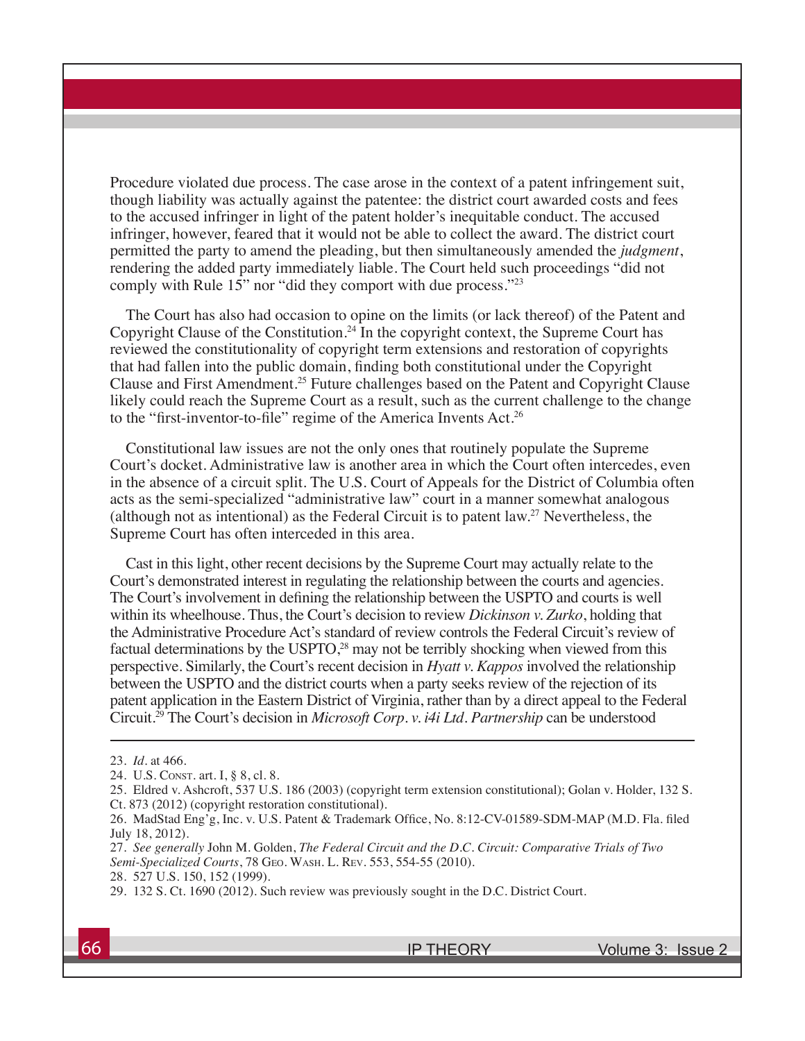Procedure violated due process. The case arose in the context of a patent infringement suit, though liability was actually against the patentee: the district court awarded costs and fees to the accused infringer in light of the patent holder's inequitable conduct. The accused infringer, however, feared that it would not be able to collect the award. The district court permitted the party to amend the pleading, but then simultaneously amended the *judgment*, rendering the added party immediately liable. The Court held such proceedings "did not comply with Rule 15" nor "did they comport with due process."23

The Court has also had occasion to opine on the limits (or lack thereof) of the Patent and Copyright Clause of the Constitution.<sup>24</sup> In the copyright context, the Supreme Court has reviewed the constitutionality of copyright term extensions and restoration of copyrights that had fallen into the public domain, finding both constitutional under the Copyright Clause and First Amendment.25 Future challenges based on the Patent and Copyright Clause likely could reach the Supreme Court as a result, such as the current challenge to the change to the "first-inventor-to-file" regime of the America Invents Act.<sup>26</sup>

Constitutional law issues are not the only ones that routinely populate the Supreme Court's docket. Administrative law is another area in which the Court often intercedes, even in the absence of a circuit split. The U.S. Court of Appeals for the District of Columbia often acts as the semi-specialized "administrative law" court in a manner somewhat analogous (although not as intentional) as the Federal Circuit is to patent law.27 Nevertheless, the Supreme Court has often interceded in this area.

Cast in this light, other recent decisions by the Supreme Court may actually relate to the Court's demonstrated interest in regulating the relationship between the courts and agencies. The Court's involvement in defining the relationship between the USPTO and courts is well within its wheelhouse. Thus, the Court's decision to review *Dickinson v. Zurko*, holding that the Administrative Procedure Act's standard of review controls the Federal Circuit's review of factual determinations by the USPTO,<sup>28</sup> may not be terribly shocking when viewed from this perspective. Similarly, the Court's recent decision in *Hyatt v. Kappos* involved the relationship between the USPTO and the district courts when a party seeks review of the rejection of its patent application in the Eastern District of Virginia, rather than by a direct appeal to the Federal Circuit.29 The Court's decision in *Microsoft Corp. v. i4i Ltd. Partnership* can be understood

<sup>23.</sup> *Id.* at 466.

<sup>24.</sup> U.S. Const. art. I, § 8, cl. 8.

<sup>25.</sup> Eldred v. Ashcroft, 537 U.S. 186 (2003) (copyright term extension constitutional); Golan v. Holder, 132 S. Ct. 873 (2012) (copyright restoration constitutional).

<sup>26.</sup> MadStad Eng'g, Inc. v. U.S. Patent & Trademark Office, No. 8:12-CV-01589-SDM-MAP (M.D. Fla. filed July 18, 2012).

<sup>27.</sup> *See generally* John M. Golden, *The Federal Circuit and the D.C. Circuit: Comparative Trials of Two Semi-Specialized Courts*, 78 Geo. Wash. L. Rev. 553, 554-55 (2010).

<sup>28. 527</sup> U.S. 150, 152 (1999).

<sup>29. 132</sup> S. Ct. 1690 (2012). Such review was previously sought in the D.C. District Court.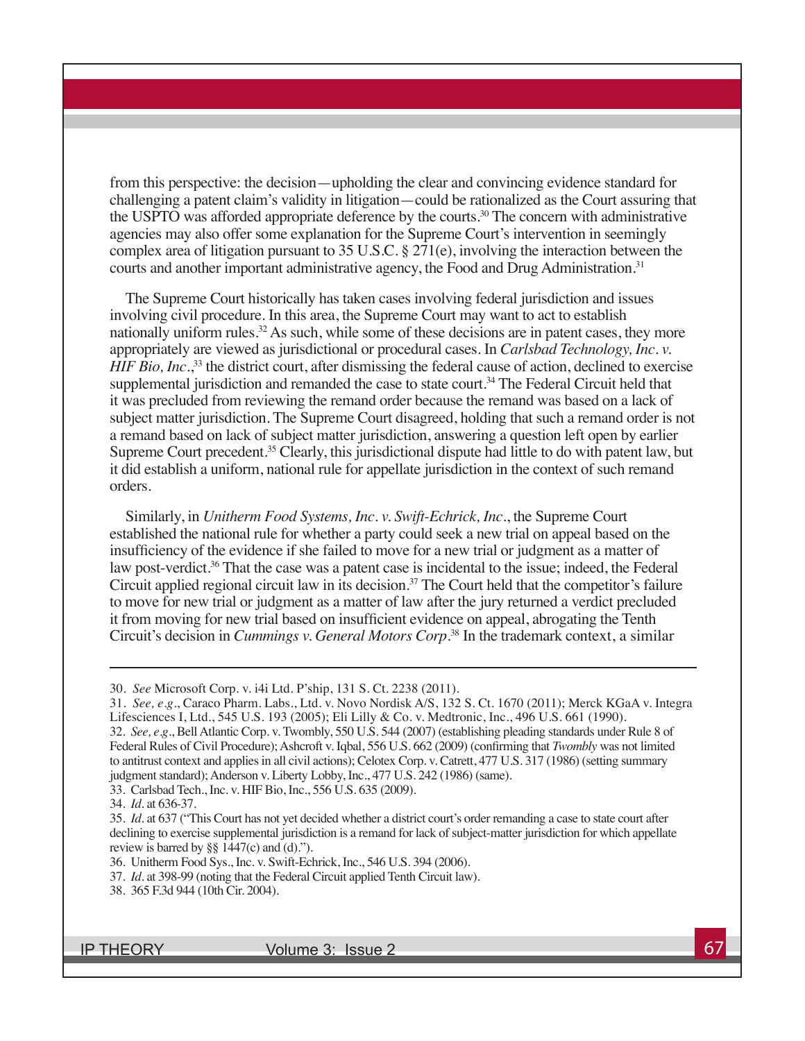from this perspective: the decision—upholding the clear and convincing evidence standard for challenging a patent claim's validity in litigation—could be rationalized as the Court assuring that the USPTO was afforded appropriate deference by the courts.<sup>30</sup> The concern with administrative agencies may also offer some explanation for the Supreme Court's intervention in seemingly complex area of litigation pursuant to 35 U.S.C.  $\S 271(e)$ , involving the interaction between the courts and another important administrative agency, the Food and Drug Administration.<sup>31</sup>

The Supreme Court historically has taken cases involving federal jurisdiction and issues involving civil procedure. In this area, the Supreme Court may want to act to establish nationally uniform rules.<sup>32</sup> As such, while some of these decisions are in patent cases, they more appropriately are viewed as jurisdictional or procedural cases. In *Carlsbad Technology, Inc. v. HIF Bio, Inc.*<sup>33</sup> the district court, after dismissing the federal cause of action, declined to exercise supplemental jurisdiction and remanded the case to state court.<sup>34</sup> The Federal Circuit held that it was precluded from reviewing the remand order because the remand was based on a lack of subject matter jurisdiction. The Supreme Court disagreed, holding that such a remand order is not a remand based on lack of subject matter jurisdiction, answering a question left open by earlier Supreme Court precedent.<sup>35</sup> Clearly, this jurisdictional dispute had little to do with patent law, but it did establish a uniform, national rule for appellate jurisdiction in the context of such remand orders.

Similarly, in *Unitherm Food Systems, Inc. v. Swift-Echrick, Inc.*, the Supreme Court established the national rule for whether a party could seek a new trial on appeal based on the insufficiency of the evidence if she failed to move for a new trial or judgment as a matter of law post-verdict.<sup>36</sup> That the case was a patent case is incidental to the issue; indeed, the Federal Circuit applied regional circuit law in its decision.<sup>37</sup> The Court held that the competitor's failure to move for new trial or judgment as a matter of law after the jury returned a verdict precluded it from moving for new trial based on insufficient evidence on appeal, abrogating the Tenth Circuit's decision in *Cummings v. General Motors Corp.*38 In the trademark context, a similar

33. Carlsbad Tech., Inc. v. HIF Bio, Inc., 556 U.S. 635 (2009).

<sup>30.</sup> *See* Microsoft Corp. v. i4i Ltd. P'ship, 131 S. Ct. 2238 (2011).

<sup>31.</sup> *See, e.g.*, Caraco Pharm. Labs., Ltd. v. Novo Nordisk A/S, 132 S. Ct. 1670 (2011); Merck KGaA v. Integra Lifesciences I, Ltd., 545 U.S. 193 (2005); Eli Lilly & Co. v. Medtronic, Inc., 496 U.S. 661 (1990). 32. *See, e.g.*, Bell Atlantic Corp. v. Twombly, 550 U.S. 544 (2007) (establishing pleading standards under Rule 8 of Federal Rules of Civil Procedure); Ashcroft v. Iqbal, 556 U.S. 662 (2009) (confirming that *Twombly* was not limited to antitrust context and applies in all civil actions); Celotex Corp. v. Catrett, 477 U.S. 317 (1986) (setting summary judgment standard); Anderson v. Liberty Lobby, Inc., 477 U.S. 242 (1986) (same).

<sup>34.</sup> *Id.* at 636-37.

<sup>35.</sup> *Id.* at 637 ("This Court has not yet decided whether a district court's order remanding a case to state court after declining to exercise supplemental jurisdiction is a remand for lack of subject-matter jurisdiction for which appellate review is barred by  $\S$ § 1447(c) and (d).").

<sup>36.</sup> Unitherm Food Sys., Inc. v. Swift-Echrick, Inc., 546 U.S. 394 (2006).

<sup>37.</sup> *Id.* at 398-99 (noting that the Federal Circuit applied Tenth Circuit law).

<sup>38. 365</sup> F.3d 944 (10th Cir. 2004).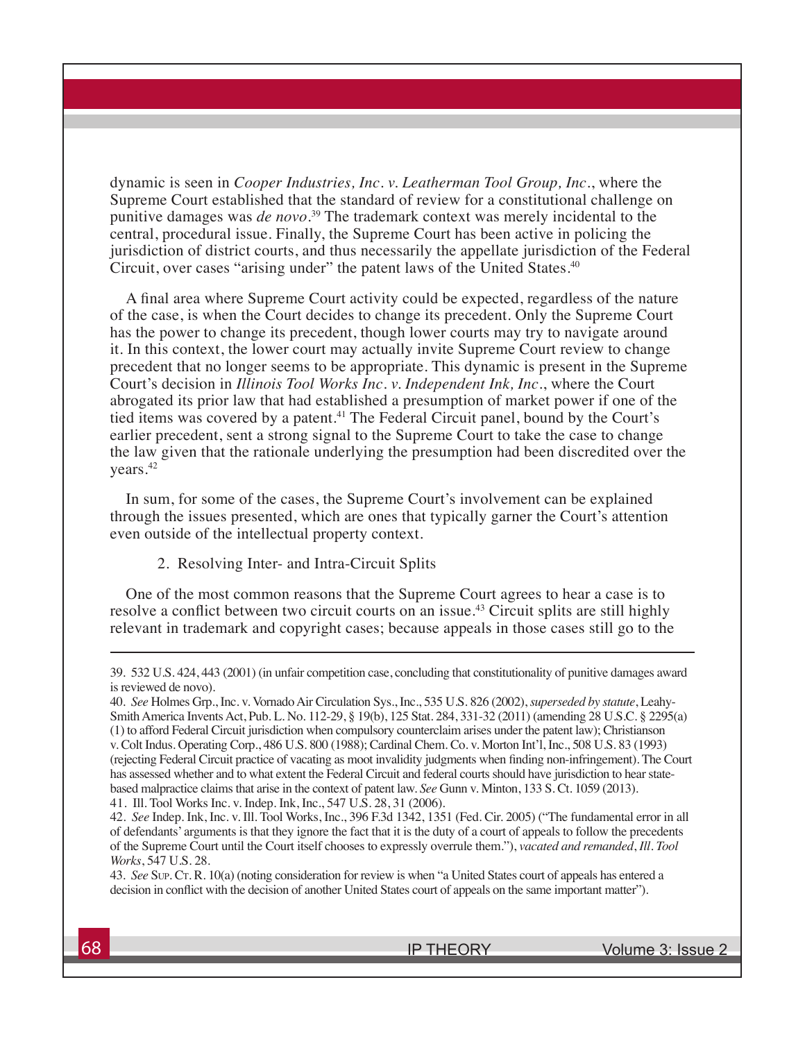dynamic is seen in *Cooper Industries, Inc. v. Leatherman Tool Group, Inc.*, where the Supreme Court established that the standard of review for a constitutional challenge on punitive damages was *de novo*. 39 The trademark context was merely incidental to the central, procedural issue. Finally, the Supreme Court has been active in policing the jurisdiction of district courts, and thus necessarily the appellate jurisdiction of the Federal Circuit, over cases "arising under" the patent laws of the United States.<sup>40</sup>

A final area where Supreme Court activity could be expected, regardless of the nature of the case, is when the Court decides to change its precedent. Only the Supreme Court has the power to change its precedent, though lower courts may try to navigate around it. In this context, the lower court may actually invite Supreme Court review to change precedent that no longer seems to be appropriate. This dynamic is present in the Supreme Court's decision in *Illinois Tool Works Inc. v. Independent Ink, Inc.*, where the Court abrogated its prior law that had established a presumption of market power if one of the tied items was covered by a patent.<sup>41</sup> The Federal Circuit panel, bound by the Court's earlier precedent, sent a strong signal to the Supreme Court to take the case to change the law given that the rationale underlying the presumption had been discredited over the years.42

In sum, for some of the cases, the Supreme Court's involvement can be explained through the issues presented, which are ones that typically garner the Court's attention even outside of the intellectual property context.

2. Resolving Inter- and Intra-Circuit Splits

One of the most common reasons that the Supreme Court agrees to hear a case is to resolve a conflict between two circuit courts on an issue.<sup>43</sup> Circuit splits are still highly relevant in trademark and copyright cases; because appeals in those cases still go to the

43. *See* Sup. CT. R. 10(a) (noting consideration for review is when "a United States court of appeals has entered a decision in conflict with the decision of another United States court of appeals on the same important matter").

<sup>39. 532</sup> U.S. 424, 443 (2001) (in unfair competition case, concluding that constitutionality of punitive damages award is reviewed de novo).

<sup>40.</sup> *See* Holmes Grp., Inc. v. Vornado Air Circulation Sys., Inc., 535 U.S. 826 (2002), *superseded by statute*, Leahy-Smith America Invents Act, Pub. L. No. 112-29, § 19(b), 125 Stat. 284, 331-32 (2011) (amending 28 U.S.C. § 2295(a) (1) to afford Federal Circuit jurisdiction when compulsory counterclaim arises under the patent law); Christianson v. Colt Indus. Operating Corp., 486 U.S. 800 (1988); Cardinal Chem. Co. v. Morton Int'l, Inc., 508 U.S. 83 (1993) (rejecting Federal Circuit practice of vacating as moot invalidity judgments when finding non-infringement). The Court has assessed whether and to what extent the Federal Circuit and federal courts should have jurisdiction to hear statebased malpractice claims that arise in the context of patent law. *See* Gunn v. Minton, 133 S. Ct. 1059 (2013). 41. Ill. Tool Works Inc. v. Indep. Ink, Inc., 547 U.S. 28, 31 (2006).

<sup>42.</sup> *See* Indep. Ink, Inc. v. Ill. Tool Works, Inc., 396 F.3d 1342, 1351 (Fed. Cir. 2005) ("The fundamental error in all of defendants' arguments is that they ignore the fact that it is the duty of a court of appeals to follow the precedents of the Supreme Court until the Court itself chooses to expressly overrule them."), *vacated and remanded*, *Ill. Tool Works*, 547 U.S. 28.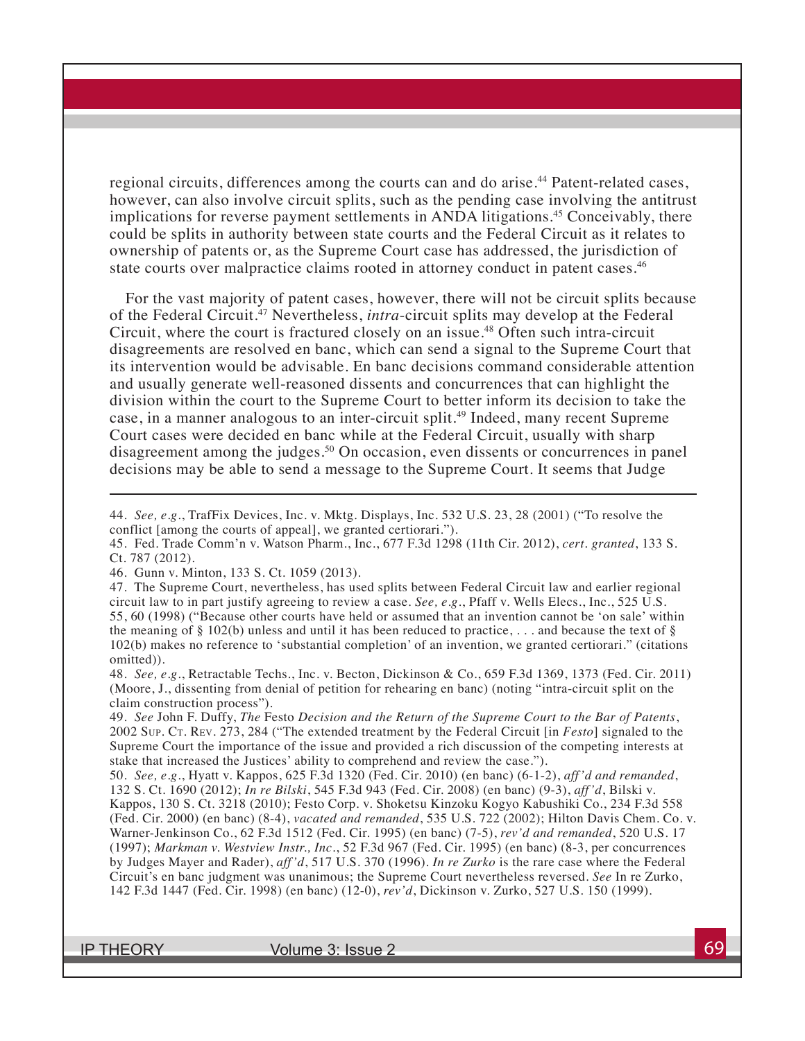regional circuits, differences among the courts can and do arise.<sup>44</sup> Patent-related cases, however, can also involve circuit splits, such as the pending case involving the antitrust implications for reverse payment settlements in ANDA litigations.<sup>45</sup> Conceivably, there could be splits in authority between state courts and the Federal Circuit as it relates to ownership of patents or, as the Supreme Court case has addressed, the jurisdiction of state courts over malpractice claims rooted in attorney conduct in patent cases.<sup>46</sup>

For the vast majority of patent cases, however, there will not be circuit splits because of the Federal Circuit.47 Nevertheless, *intra*-circuit splits may develop at the Federal Circuit, where the court is fractured closely on an issue.<sup>48</sup> Often such intra-circuit disagreements are resolved en banc, which can send a signal to the Supreme Court that its intervention would be advisable. En banc decisions command considerable attention and usually generate well-reasoned dissents and concurrences that can highlight the division within the court to the Supreme Court to better inform its decision to take the case, in a manner analogous to an inter-circuit split.<sup>49</sup> Indeed, many recent Supreme Court cases were decided en banc while at the Federal Circuit, usually with sharp disagreement among the judges.<sup>50</sup> On occasion, even dissents or concurrences in panel decisions may be able to send a message to the Supreme Court. It seems that Judge

48. *See, e.g.*, Retractable Techs., Inc. v. Becton, Dickinson & Co., 659 F.3d 1369, 1373 (Fed. Cir. 2011) (Moore, J., dissenting from denial of petition for rehearing en banc) (noting "intra-circuit split on the claim construction process").

49. *See* John F. Duffy, *The* Festo *Decision and the Return of the Supreme Court to the Bar of Patents*, 2002 Sup. Ct. Rev. 273, 284 ("The extended treatment by the Federal Circuit [in *Festo*] signaled to the Supreme Court the importance of the issue and provided a rich discussion of the competing interests at stake that increased the Justices' ability to comprehend and review the case.").

50. *See, e.g.*, Hyatt v. Kappos, 625 F.3d 1320 (Fed. Cir. 2010) (en banc) (6-1-2), *aff'd and remanded*, 132 S. Ct. 1690 (2012); *In re Bilski*, 545 F.3d 943 (Fed. Cir. 2008) (en banc) (9-3), *aff'd*, Bilski v. Kappos, 130 S. Ct. 3218 (2010); Festo Corp. v. Shoketsu Kinzoku Kogyo Kabushiki Co., 234 F.3d 558 (Fed. Cir. 2000) (en banc) (8-4), *vacated and remanded*, 535 U.S. 722 (2002); Hilton Davis Chem. Co. v. Warner-Jenkinson Co., 62 F.3d 1512 (Fed. Cir. 1995) (en banc) (7-5), *rev'd and remanded*, 520 U.S. 17 (1997); *Markman v. Westview Instr., Inc.*, 52 F.3d 967 (Fed. Cir. 1995) (en banc) (8-3, per concurrences by Judges Mayer and Rader), *aff'd*, 517 U.S. 370 (1996). *In re Zurko* is the rare case where the Federal Circuit's en banc judgment was unanimous; the Supreme Court nevertheless reversed. *See* In re Zurko, 142 F.3d 1447 (Fed. Cir. 1998) (en banc) (12-0), *rev'd*, Dickinson v. Zurko, 527 U.S. 150 (1999).

<sup>44.</sup> *See, e.g.*, TrafFix Devices, Inc. v. Mktg. Displays, Inc. 532 U.S. 23, 28 (2001) ("To resolve the conflict [among the courts of appeal], we granted certiorari.").

<sup>45.</sup> Fed. Trade Comm'n v. Watson Pharm., Inc., 677 F.3d 1298 (11th Cir. 2012), *cert. granted*, 133 S. Ct. 787 (2012).

<sup>46.</sup> Gunn v. Minton, 133 S. Ct. 1059 (2013).

<sup>47.</sup> The Supreme Court, nevertheless, has used splits between Federal Circuit law and earlier regional circuit law to in part justify agreeing to review a case. *See, e.g.*, Pfaff v. Wells Elecs., Inc., 525 U.S. 55, 60 (1998) ("Because other courts have held or assumed that an invention cannot be 'on sale' within the meaning of  $\S$  102(b) unless and until it has been reduced to practice, ... and because the text of  $\S$ 102(b) makes no reference to 'substantial completion' of an invention, we granted certiorari." (citations omitted)).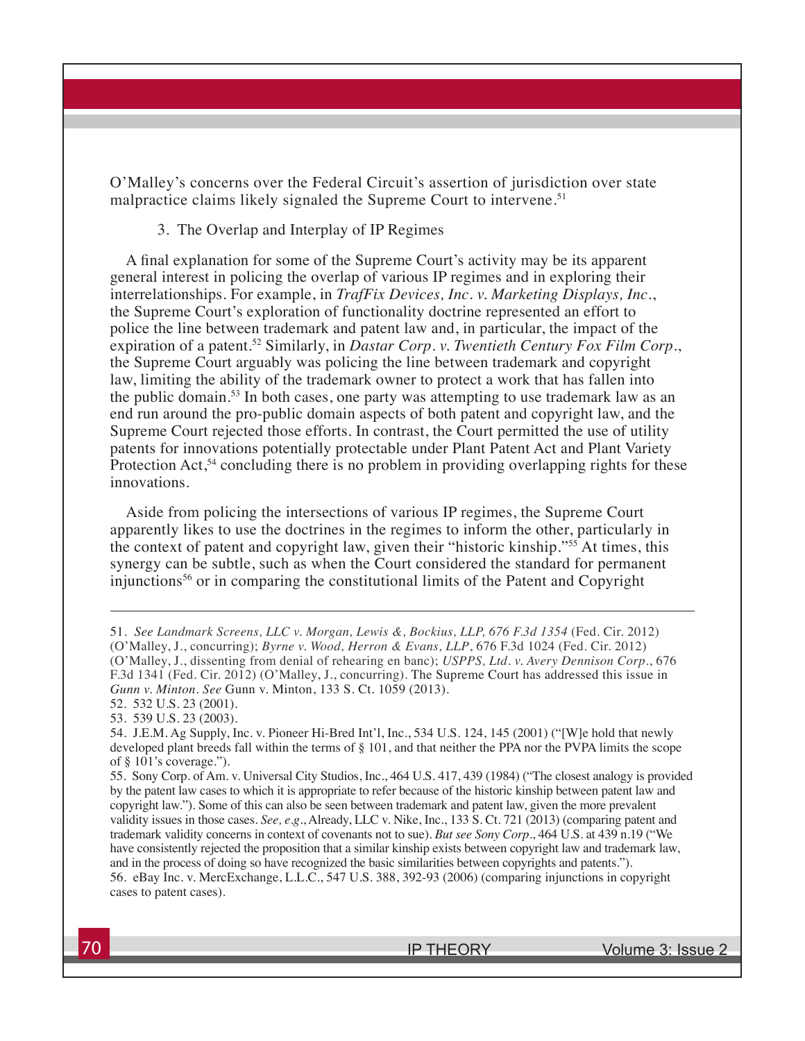O'Malley's concerns over the Federal Circuit's assertion of jurisdiction over state malpractice claims likely signaled the Supreme Court to intervene.<sup>51</sup>

#### 3. The Overlap and Interplay of IP Regimes

A final explanation for some of the Supreme Court's activity may be its apparent general interest in policing the overlap of various IP regimes and in exploring their interrelationships. For example, in *TrafFix Devices, Inc. v. Marketing Displays, Inc.*, the Supreme Court's exploration of functionality doctrine represented an effort to police the line between trademark and patent law and, in particular, the impact of the expiration of a patent.<sup>52</sup> Similarly, in *Dastar Corp. v. Twentieth Century Fox Film Corp.*, the Supreme Court arguably was policing the line between trademark and copyright law, limiting the ability of the trademark owner to protect a work that has fallen into the public domain.<sup>53</sup> In both cases, one party was attempting to use trademark law as an end run around the pro-public domain aspects of both patent and copyright law, and the Supreme Court rejected those efforts. In contrast, the Court permitted the use of utility patents for innovations potentially protectable under Plant Patent Act and Plant Variety Protection Act,<sup>54</sup> concluding there is no problem in providing overlapping rights for these innovations.

Aside from policing the intersections of various IP regimes, the Supreme Court apparently likes to use the doctrines in the regimes to inform the other, particularly in the context of patent and copyright law, given their "historic kinship."55 At times, this synergy can be subtle, such as when the Court considered the standard for permanent injunctions56 or in comparing the constitutional limits of the Patent and Copyright

<sup>51.</sup> *See Landmark Screens, LLC v. Morgan, Lewis &, Bockius, LLP, 676 F.3d 1354* (Fed. Cir. 2012) (O'Malley, J., concurring); *Byrne v. Wood, Herron & Evans, LLP*, 676 F.3d 1024 (Fed. Cir. 2012) (O'Malley, J., dissenting from denial of rehearing en banc); *USPPS, Ltd. v. Avery Dennison Corp.*, 676 F.3d 1341 (Fed. Cir. 2012) (O'Malley, J., concurring). The Supreme Court has addressed this issue in *Gunn v. Minton*. *See* Gunn v. Minton, 133 S. Ct. 1059 (2013).

<sup>52. 532</sup> U.S. 23 (2001). 53. 539 U.S. 23 (2003).

<sup>54.</sup> J.E.M. Ag Supply, Inc. v. Pioneer Hi-Bred Int'l, Inc., 534 U.S. 124, 145 (2001) ("[W]e hold that newly developed plant breeds fall within the terms of § 101, and that neither the PPA nor the PVPA limits the scope of § 101's coverage.").

<sup>55.</sup> Sony Corp. of Am. v. Universal City Studios, Inc., 464 U.S. 417, 439 (1984) ("The closest analogy is provided by the patent law cases to which it is appropriate to refer because of the historic kinship between patent law and copyright law."). Some of this can also be seen between trademark and patent law, given the more prevalent validity issues in those cases. *See, e.g.*, Already, LLC v. Nike, Inc., 133 S. Ct. 721 (2013) (comparing patent and trademark validity concerns in context of covenants not to sue). *But see Sony Corp.*, 464 U.S. at 439 n.19 ("We have consistently rejected the proposition that a similar kinship exists between copyright law and trademark law, and in the process of doing so have recognized the basic similarities between copyrights and patents."). 56. eBay Inc. v. MercExchange, L.L.C., 547 U.S. 388, 392-93 (2006) (comparing injunctions in copyright cases to patent cases).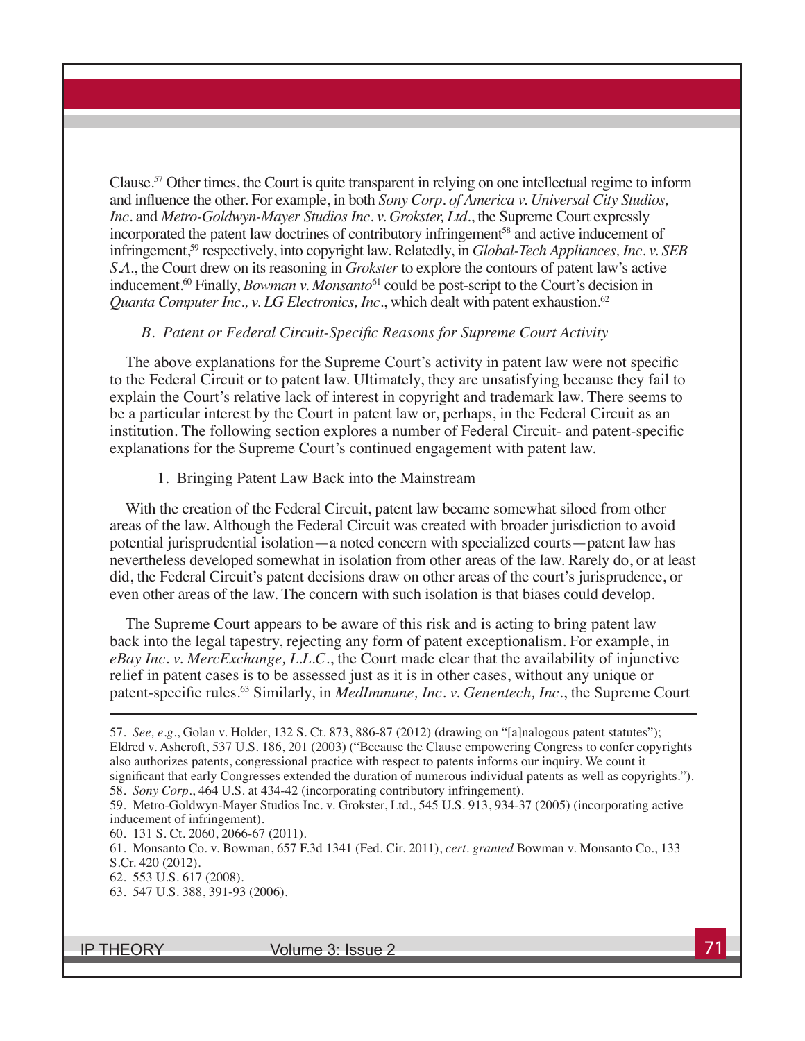Clause.57 Other times, the Court is quite transparent in relying on one intellectual regime to inform and influence the other. For example, in both *Sony Corp. of America v. Universal City Studios, Inc.* and *Metro-Goldwyn-Mayer Studios Inc. v. Grokster, Ltd.*, the Supreme Court expressly incorporated the patent law doctrines of contributory infringement<sup>58</sup> and active inducement of infringement,<sup>59</sup> respectively, into copyright law. Relatedly, in *Global-Tech Appliances, Inc. v. SEB S.A.*, the Court drew on its reasoning in *Grokster* to explore the contours of patent law's active inducement.<sup>60</sup> Finally, *Bowman v. Monsanto*<sup>61</sup> could be post-script to the Court's decision in *Quanta Computer Inc., v. LG Electronics, Inc., which dealt with patent exhaustion.*<sup>62</sup>

#### *B. Patent or Federal Circuit-Specific Reasons for Supreme Court Activity*

The above explanations for the Supreme Court's activity in patent law were not specific to the Federal Circuit or to patent law. Ultimately, they are unsatisfying because they fail to explain the Court's relative lack of interest in copyright and trademark law. There seems to be a particular interest by the Court in patent law or, perhaps, in the Federal Circuit as an institution. The following section explores a number of Federal Circuit- and patent-specific explanations for the Supreme Court's continued engagement with patent law.

#### 1. Bringing Patent Law Back into the Mainstream

With the creation of the Federal Circuit, patent law became somewhat siloed from other areas of the law. Although the Federal Circuit was created with broader jurisdiction to avoid potential jurisprudential isolation—a noted concern with specialized courts—patent law has nevertheless developed somewhat in isolation from other areas of the law. Rarely do, or at least did, the Federal Circuit's patent decisions draw on other areas of the court's jurisprudence, or even other areas of the law. The concern with such isolation is that biases could develop.

The Supreme Court appears to be aware of this risk and is acting to bring patent law back into the legal tapestry, rejecting any form of patent exceptionalism. For example, in *eBay Inc. v. MercExchange, L.L.C.*, the Court made clear that the availability of injunctive relief in patent cases is to be assessed just as it is in other cases, without any unique or patent-specific rules.<sup>63</sup> Similarly, in *MedImmune, Inc. v. Genentech, Inc.*, the Supreme Court

63. 547 U.S. 388, 391-93 (2006).

<sup>57.</sup> *See, e.g.*, Golan v. Holder, 132 S. Ct. 873, 886-87 (2012) (drawing on "[a]nalogous patent statutes"); Eldred v. Ashcroft, 537 U.S. 186, 201 (2003) ("Because the Clause empowering Congress to confer copyrights also authorizes patents, congressional practice with respect to patents informs our inquiry. We count it significant that early Congresses extended the duration of numerous individual patents as well as copyrights.").

<sup>58.</sup> *Sony Corp.*, 464 U.S. at 434-42 (incorporating contributory infringement).

<sup>59.</sup> Metro-Goldwyn-Mayer Studios Inc. v. Grokster, Ltd., 545 U.S. 913, 934-37 (2005) (incorporating active inducement of infringement).

<sup>60. 131</sup> S. Ct. 2060, 2066-67 (2011).

<sup>61.</sup> Monsanto Co. v. Bowman, 657 F.3d 1341 (Fed. Cir. 2011), *cert. granted* Bowman v. Monsanto Co., 133 S.Cr. 420 (2012).

<sup>62. 553</sup> U.S. 617 (2008).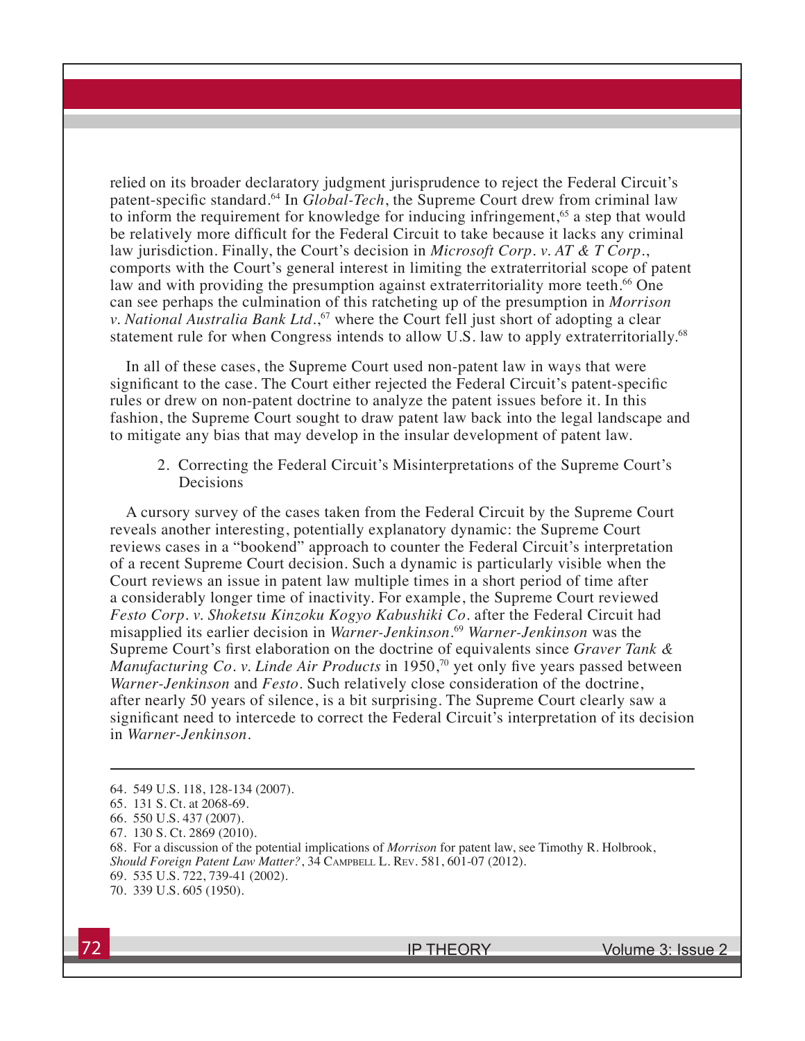relied on its broader declaratory judgment jurisprudence to reject the Federal Circuit's patent-specific standard.64 In *Global-Tech*, the Supreme Court drew from criminal law to inform the requirement for knowledge for inducing infringement,<sup>65</sup> a step that would be relatively more difficult for the Federal Circuit to take because it lacks any criminal law jurisdiction. Finally, the Court's decision in *Microsoft Corp. v. AT & T Corp.*, comports with the Court's general interest in limiting the extraterritorial scope of patent law and with providing the presumption against extraterritoriality more teeth.<sup>66</sup> One can see perhaps the culmination of this ratcheting up of the presumption in *Morrison v. National Australia Bank Ltd.*, 67 where the Court fell just short of adopting a clear statement rule for when Congress intends to allow U.S. law to apply extraterritorially.<sup>68</sup>

In all of these cases, the Supreme Court used non-patent law in ways that were significant to the case. The Court either rejected the Federal Circuit's patent-specific rules or drew on non-patent doctrine to analyze the patent issues before it. In this fashion, the Supreme Court sought to draw patent law back into the legal landscape and to mitigate any bias that may develop in the insular development of patent law.

2. Correcting the Federal Circuit's Misinterpretations of the Supreme Court's Decisions

A cursory survey of the cases taken from the Federal Circuit by the Supreme Court reveals another interesting, potentially explanatory dynamic: the Supreme Court reviews cases in a "bookend" approach to counter the Federal Circuit's interpretation of a recent Supreme Court decision. Such a dynamic is particularly visible when the Court reviews an issue in patent law multiple times in a short period of time after a considerably longer time of inactivity. For example, the Supreme Court reviewed *Festo Corp. v. Shoketsu Kinzoku Kogyo Kabushiki Co.* after the Federal Circuit had misapplied its earlier decision in *Warner-Jenkinson*. <sup>69</sup> *Warner-Jenkinson* was the Supreme Court's first elaboration on the doctrine of equivalents since *Graver Tank & Manufacturing Co. v. Linde Air Products* in 1950,<sup>70</sup> yet only five years passed between *Warner-Jenkinson* and *Festo*. Such relatively close consideration of the doctrine, after nearly 50 years of silence, is a bit surprising. The Supreme Court clearly saw a significant need to intercede to correct the Federal Circuit's interpretation of its decision in *Warner-Jenkinson*.

- 68. For a discussion of the potential implications of *Morrison* for patent law, see Timothy R. Holbrook, *Should Foreign Patent Law Matter?*, 34 Campbell L. Rev. 581, 601-07 (2012). 69. 535 U.S. 722, 739-41 (2002).
- 70. 339 U.S. 605 (1950).

<sup>64. 549</sup> U.S. 118, 128-134 (2007).

<sup>65. 131</sup> S. Ct. at 2068-69.

<sup>66. 550</sup> U.S. 437 (2007).

<sup>67. 130</sup> S. Ct. 2869 (2010).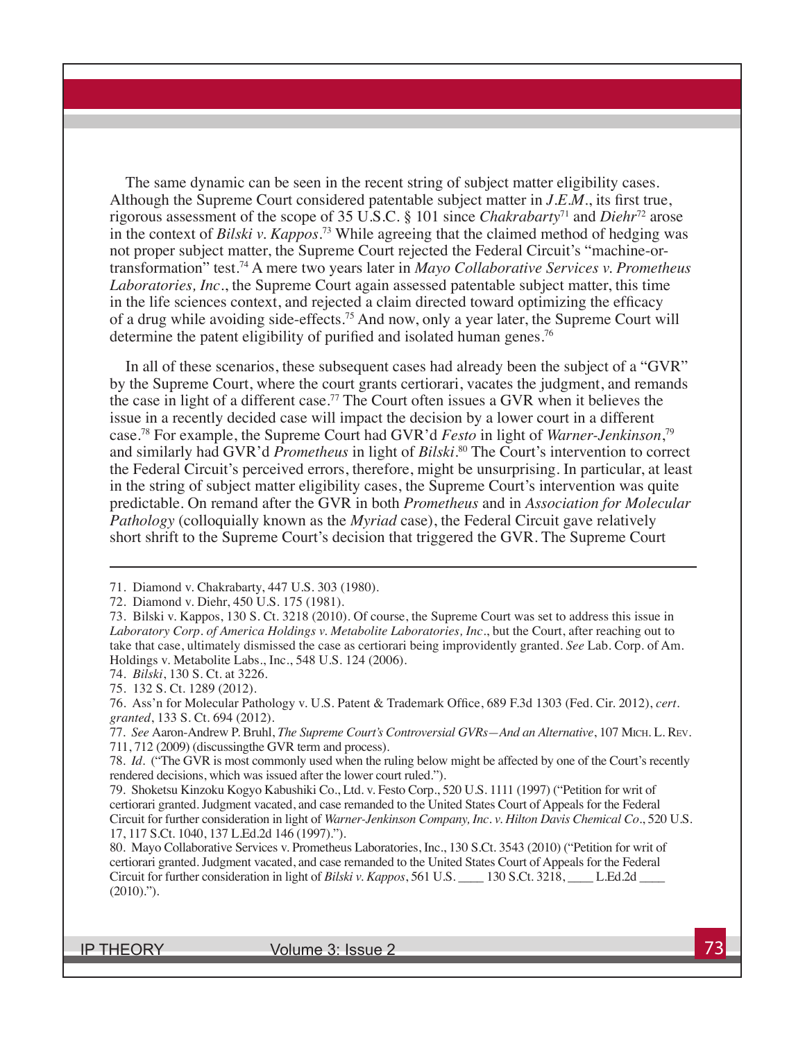The same dynamic can be seen in the recent string of subject matter eligibility cases. Although the Supreme Court considered patentable subject matter in *J.E.M.*, its first true, rigorous assessment of the scope of 35 U.S.C. § 101 since *Chakrabarty*71 and *Diehr*<sup>72</sup> arose in the context of *Bilski v. Kappos*. 73 While agreeing that the claimed method of hedging was not proper subject matter, the Supreme Court rejected the Federal Circuit's "machine-ortransformation" test.74 A mere two years later in *Mayo Collaborative Services v. Prometheus Laboratories, Inc.*, the Supreme Court again assessed patentable subject matter, this time in the life sciences context, and rejected a claim directed toward optimizing the efficacy of a drug while avoiding side-effects.75 And now, only a year later, the Supreme Court will determine the patent eligibility of purified and isolated human genes.<sup>76</sup>

In all of these scenarios, these subsequent cases had already been the subject of a "GVR" by the Supreme Court, where the court grants certiorari, vacates the judgment, and remands the case in light of a different case.<sup>77</sup> The Court often issues a GVR when it believes the issue in a recently decided case will impact the decision by a lower court in a different case.78 For example, the Supreme Court had GVR'd *Festo* in light of *Warner-Jenkinson*, 79 and similarly had GVR'd *Prometheus* in light of *Bilski*. 80 The Court's intervention to correct the Federal Circuit's perceived errors, therefore, might be unsurprising. In particular, at least in the string of subject matter eligibility cases, the Supreme Court's intervention was quite predictable. On remand after the GVR in both *Prometheus* and in *Association for Molecular Pathology* (colloquially known as the *Myriad* case), the Federal Circuit gave relatively short shrift to the Supreme Court's decision that triggered the GVR. The Supreme Court

72. Diamond v. Diehr, 450 U.S. 175 (1981).

74. *Bilski*, 130 S. Ct. at 3226.

75. 132 S. Ct. 1289 (2012).

<sup>71.</sup> Diamond v. Chakrabarty, 447 U.S. 303 (1980).

<sup>73.</sup> Bilski v. Kappos, 130 S. Ct. 3218 (2010). Of course, the Supreme Court was set to address this issue in *Laboratory Corp. of America Holdings v. Metabolite Laboratories, Inc.*, but the Court, after reaching out to take that case, ultimately dismissed the case as certiorari being improvidently granted. *See* Lab. Corp. of Am. Holdings v. Metabolite Labs., Inc., 548 U.S. 124 (2006).

<sup>76.</sup> Ass'n for Molecular Pathology v. U.S. Patent & Trademark Office, 689 F.3d 1303 (Fed. Cir. 2012), *cert. granted*, 133 S. Ct. 694 (2012).

<sup>77.</sup> *See* Aaron-Andrew P. Bruhl, *The Supreme Court's Controversial GVRs—And an Alternative*, 107 Mich. L. Rev. 711, 712 (2009) (discussingthe GVR term and process).

<sup>78.</sup> *Id.* ("The GVR is most commonly used when the ruling below might be affected by one of the Court's recently rendered decisions, which was issued after the lower court ruled.").

<sup>79.</sup> Shoketsu Kinzoku Kogyo Kabushiki Co., Ltd. v. Festo Corp., 520 U.S. 1111 (1997) ("Petition for writ of certiorari granted. Judgment vacated, and case remanded to the United States Court of Appeals for the Federal Circuit for further consideration in light of *Warner-Jenkinson Company, Inc. v. Hilton Davis Chemical Co.*, 520 U.S. 17, 117 S.Ct. 1040, 137 L.Ed.2d 146 (1997).").

<sup>80.</sup> Mayo Collaborative Services v. Prometheus Laboratories, Inc., 130 S.Ct. 3543 (2010) ("Petition for writ of certiorari granted. Judgment vacated, and case remanded to the United States Court of Appeals for the Federal Circuit for further consideration in light of *Bilski v. Kappos*, 561 U.S. \_\_\_\_ 130 S.Ct. 3218, \_\_\_\_ L.Ed.2d \_\_\_\_  $(2010)$ .").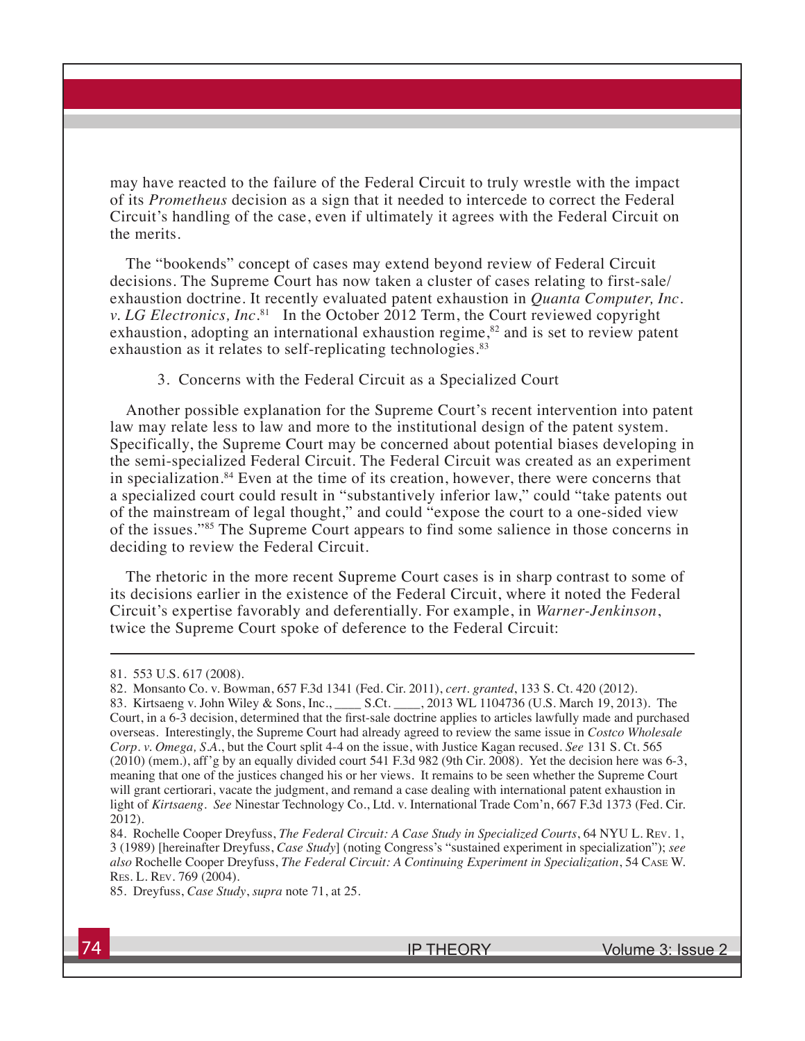may have reacted to the failure of the Federal Circuit to truly wrestle with the impact of its *Prometheus* decision as a sign that it needed to intercede to correct the Federal Circuit's handling of the case, even if ultimately it agrees with the Federal Circuit on the merits.

The "bookends" concept of cases may extend beyond review of Federal Circuit decisions. The Supreme Court has now taken a cluster of cases relating to first-sale/ exhaustion doctrine. It recently evaluated patent exhaustion in *Quanta Computer, Inc. v. LG Electronics, Inc.*<sup>81</sup> In the October 2012 Term, the Court reviewed copyright exhaustion, adopting an international exhaustion regime,<sup>82</sup> and is set to review patent exhaustion as it relates to self-replicating technologies.<sup>83</sup>

3. Concerns with the Federal Circuit as a Specialized Court

Another possible explanation for the Supreme Court's recent intervention into patent law may relate less to law and more to the institutional design of the patent system. Specifically, the Supreme Court may be concerned about potential biases developing in the semi-specialized Federal Circuit. The Federal Circuit was created as an experiment in specialization.84 Even at the time of its creation, however, there were concerns that a specialized court could result in "substantively inferior law," could "take patents out of the mainstream of legal thought," and could "expose the court to a one-sided view of the issues."85 The Supreme Court appears to find some salience in those concerns in deciding to review the Federal Circuit.

The rhetoric in the more recent Supreme Court cases is in sharp contrast to some of its decisions earlier in the existence of the Federal Circuit, where it noted the Federal Circuit's expertise favorably and deferentially. For example, in *Warner-Jenkinson*, twice the Supreme Court spoke of deference to the Federal Circuit:

<sup>81. 553</sup> U.S. 617 (2008).

<sup>82.</sup> Monsanto Co. v. Bowman, 657 F.3d 1341 (Fed. Cir. 2011), *cert. granted*, 133 S. Ct. 420 (2012). 83. Kirtsaeng v. John Wiley & Sons, Inc., \_\_\_\_ S.Ct. \_\_\_\_, 2013 WL 1104736 (U.S. March 19, 2013). The Court, in a 6-3 decision, determined that the first-sale doctrine applies to articles lawfully made and purchased overseas. Interestingly, the Supreme Court had already agreed to review the same issue in *Costco Wholesale Corp. v. Omega, S.A.*, but the Court split 4-4 on the issue, with Justice Kagan recused. *See* 131 S. Ct. 565 (2010) (mem.), aff'g by an equally divided court 541 F.3d 982 (9th Cir. 2008). Yet the decision here was 6-3, meaning that one of the justices changed his or her views. It remains to be seen whether the Supreme Court will grant certiorari, vacate the judgment, and remand a case dealing with international patent exhaustion in light of *Kirtsaeng*. *See* Ninestar Technology Co., Ltd. v. International Trade Com'n, 667 F.3d 1373 (Fed. Cir. 2012).

<sup>84.</sup> Rochelle Cooper Dreyfuss, *The Federal Circuit: A Case Study in Specialized Courts*, 64 NYU L. Rev. 1, 3 (1989) [hereinafter Dreyfuss, *Case Study*] (noting Congress's "sustained experiment in specialization"); *see also* Rochelle Cooper Dreyfuss, *The Federal Circuit: A Continuing Experiment in Specialization*, 54 Case W. Res. L. Rev. 769 (2004).

<sup>85.</sup> Dreyfuss, *Case Study*, *supra* note 71, at 25.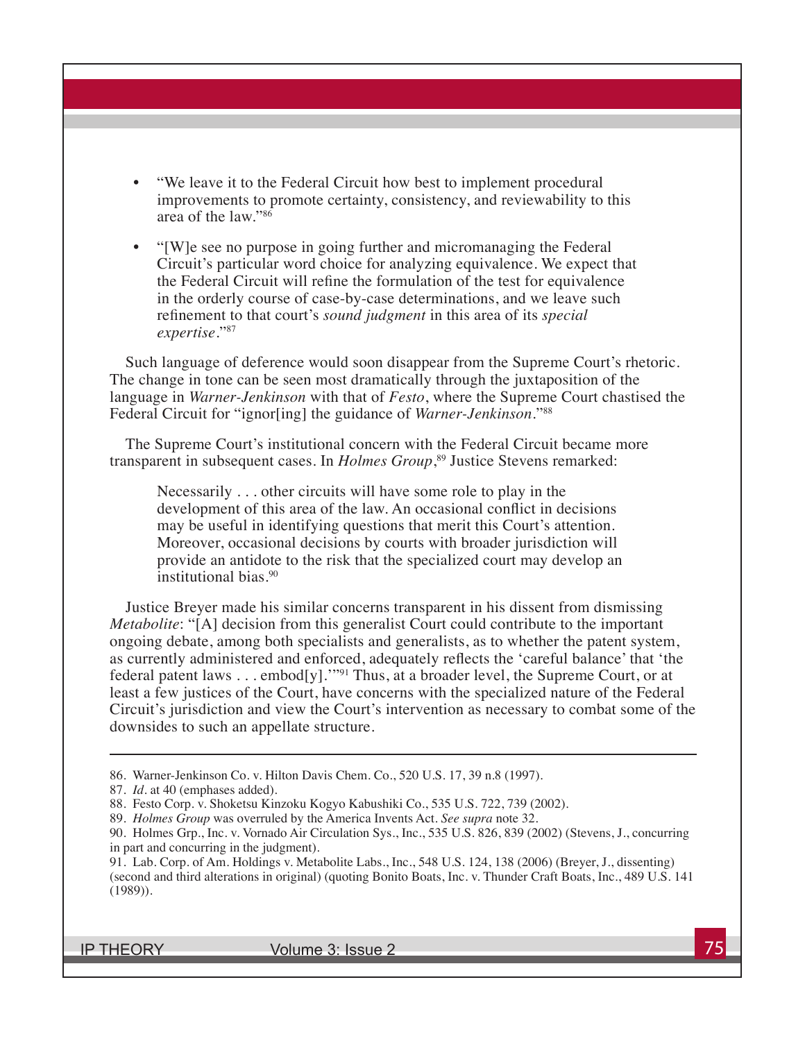- "We leave it to the Federal Circuit how best to implement procedural improvements to promote certainty, consistency, and reviewability to this area of the law."86
- "[W]e see no purpose in going further and micromanaging the Federal Circuit's particular word choice for analyzing equivalence. We expect that the Federal Circuit will refine the formulation of the test for equivalence in the orderly course of case-by-case determinations, and we leave such refinement to that court's *sound judgment* in this area of its *special expertise*."87

Such language of deference would soon disappear from the Supreme Court's rhetoric. The change in tone can be seen most dramatically through the juxtaposition of the language in *Warner-Jenkinson* with that of *Festo*, where the Supreme Court chastised the Federal Circuit for "ignor[ing] the guidance of *Warner-Jenkinson*."88

The Supreme Court's institutional concern with the Federal Circuit became more transparent in subsequent cases. In *Holmes Group*, 89 Justice Stevens remarked:

Necessarily . . . other circuits will have some role to play in the development of this area of the law. An occasional conflict in decisions may be useful in identifying questions that merit this Court's attention. Moreover, occasional decisions by courts with broader jurisdiction will provide an antidote to the risk that the specialized court may develop an institutional bias.90

Justice Breyer made his similar concerns transparent in his dissent from dismissing *Metabolite*: "[A] decision from this generalist Court could contribute to the important ongoing debate, among both specialists and generalists, as to whether the patent system, as currently administered and enforced, adequately reflects the 'careful balance' that 'the federal patent laws . . . embod[y].'"91 Thus, at a broader level, the Supreme Court, or at least a few justices of the Court, have concerns with the specialized nature of the Federal Circuit's jurisdiction and view the Court's intervention as necessary to combat some of the downsides to such an appellate structure.

<sup>86.</sup> Warner-Jenkinson Co. v. Hilton Davis Chem. Co., 520 U.S. 17, 39 n.8 (1997).

<sup>87.</sup> *Id.* at 40 (emphases added).

<sup>88.</sup> Festo Corp. v. Shoketsu Kinzoku Kogyo Kabushiki Co., 535 U.S. 722, 739 (2002).

<sup>89.</sup> *Holmes Group* was overruled by the America Invents Act. *See supra* note 32.

<sup>90.</sup> Holmes Grp., Inc. v. Vornado Air Circulation Sys., Inc., 535 U.S. 826, 839 (2002) (Stevens, J., concurring in part and concurring in the judgment).

<sup>91.</sup> Lab. Corp. of Am. Holdings v. Metabolite Labs., Inc., 548 U.S. 124, 138 (2006) (Breyer, J., dissenting) (second and third alterations in original) (quoting Bonito Boats, Inc. v. Thunder Craft Boats, Inc., 489 U.S. 141 (1989)).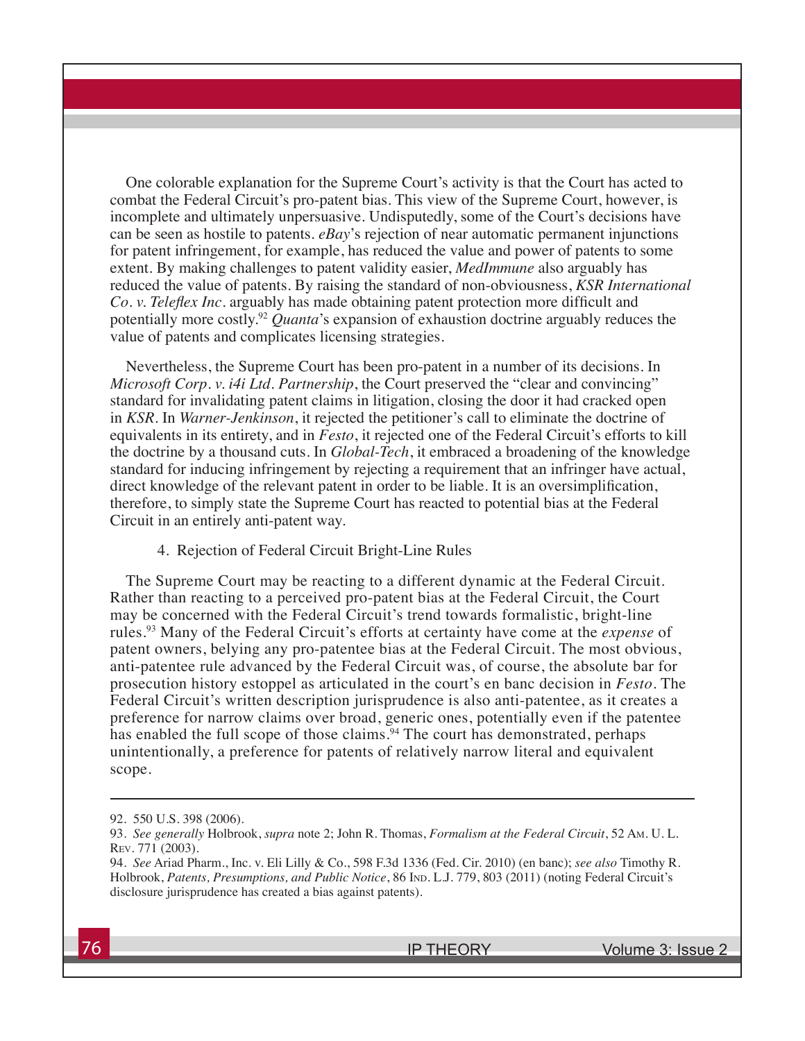One colorable explanation for the Supreme Court's activity is that the Court has acted to combat the Federal Circuit's pro-patent bias. This view of the Supreme Court, however, is incomplete and ultimately unpersuasive. Undisputedly, some of the Court's decisions have can be seen as hostile to patents. *eBay*'s rejection of near automatic permanent injunctions for patent infringement, for example, has reduced the value and power of patents to some extent. By making challenges to patent validity easier, *MedImmune* also arguably has reduced the value of patents. By raising the standard of non-obviousness, *KSR International Co. v. Teleflex Inc.* arguably has made obtaining patent protection more difficult and potentially more costly.92 *Quanta*'s expansion of exhaustion doctrine arguably reduces the value of patents and complicates licensing strategies.

Nevertheless, the Supreme Court has been pro-patent in a number of its decisions. In *Microsoft Corp. v. i4i Ltd. Partnership*, the Court preserved the "clear and convincing" standard for invalidating patent claims in litigation, closing the door it had cracked open in *KSR*. In *Warner-Jenkinson*, it rejected the petitioner's call to eliminate the doctrine of equivalents in its entirety, and in *Festo*, it rejected one of the Federal Circuit's efforts to kill the doctrine by a thousand cuts. In *Global-Tech*, it embraced a broadening of the knowledge standard for inducing infringement by rejecting a requirement that an infringer have actual, direct knowledge of the relevant patent in order to be liable. It is an oversimplification, therefore, to simply state the Supreme Court has reacted to potential bias at the Federal Circuit in an entirely anti-patent way.

4. Rejection of Federal Circuit Bright-Line Rules

The Supreme Court may be reacting to a different dynamic at the Federal Circuit. Rather than reacting to a perceived pro-patent bias at the Federal Circuit, the Court may be concerned with the Federal Circuit's trend towards formalistic, bright-line rules.93 Many of the Federal Circuit's efforts at certainty have come at the *expense* of patent owners, belying any pro-patentee bias at the Federal Circuit. The most obvious, anti-patentee rule advanced by the Federal Circuit was, of course, the absolute bar for prosecution history estoppel as articulated in the court's en banc decision in *Festo*. The Federal Circuit's written description jurisprudence is also anti-patentee, as it creates a preference for narrow claims over broad, generic ones, potentially even if the patentee has enabled the full scope of those claims.<sup>94</sup> The court has demonstrated, perhaps unintentionally, a preference for patents of relatively narrow literal and equivalent scope.

<sup>92. 550</sup> U.S. 398 (2006).

<sup>93.</sup> *See generally* Holbrook, *supra* note 2; John R. Thomas, *Formalism at the Federal Circuit*, 52 Am. U. L. Rev. 771 (2003).

<sup>94.</sup> *See* Ariad Pharm., Inc. v. Eli Lilly & Co., 598 F.3d 1336 (Fed. Cir. 2010) (en banc); *see also* Timothy R. Holbrook, Patents, Presumptions, and Public Notice, 86 IND. L.J. 779, 803 (2011) (noting Federal Circuit's disclosure jurisprudence has created a bias against patents).